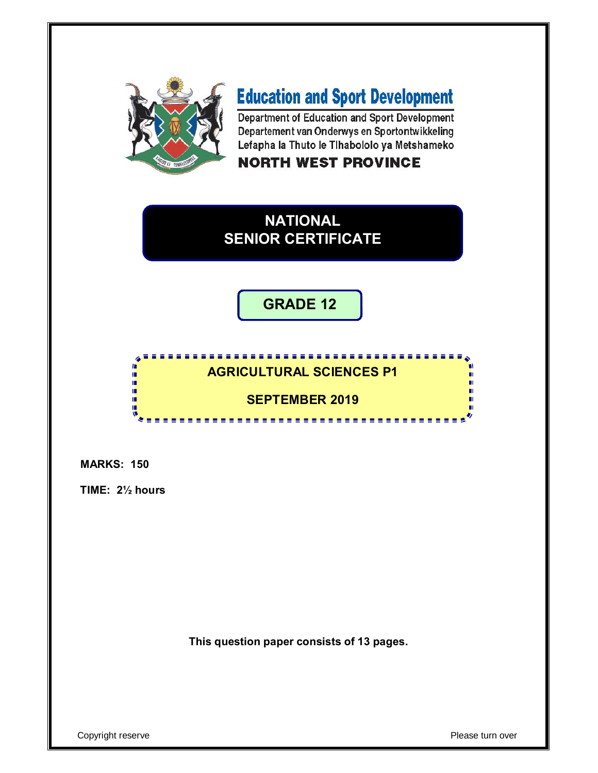

# **Education and Sport Development**

Department of Education and Sport Development Departement van Onderwys en Sportontwikkeling Lefapha la Thuto le Tihabololo ya Metshameko

## **NORTH WEST PROVINCE**

# **NATIONAL SENIOR CERTIFICATE**

**GRADE 12**

#### . . . . . . . . . . . . . . . . . . **AGRICULTURAL SCIENCES P1**

### **SEPTEMBER 2019**

**MARKS: 150**

**TIME: 2½ hours** 

IÈ. ۱<mark>۱</mark> ú. 唓 慢

**This question paper consists of 13 pages.**

Copyright reserve **Contract Contract Contract Contract Contract Contract Contract Contract Contract Contract Contract Contract Contract Contract Contract Contract Contract Contract Contract Contract Contract Contract Contr**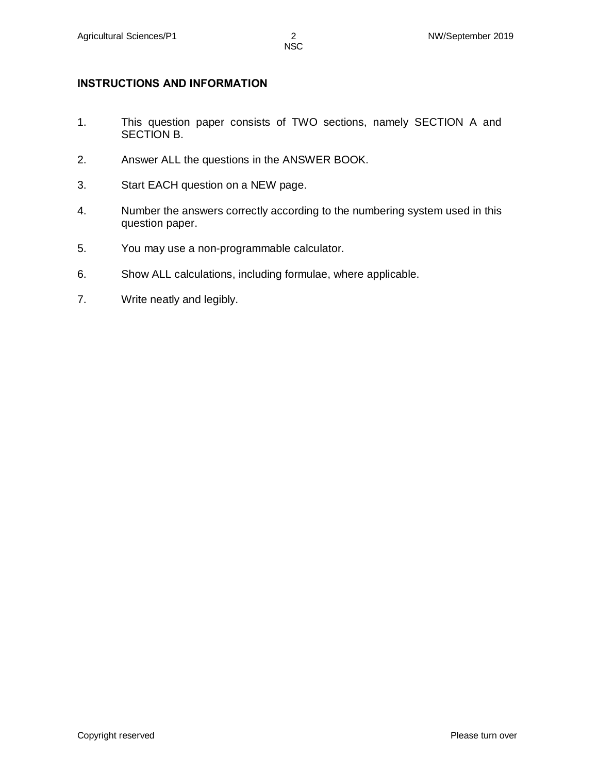#### **INSTRUCTIONS AND INFORMATION**

- 1. This question paper consists of TWO sections, namely SECTION A and SECTION B.
- 2. Answer ALL the questions in the ANSWER BOOK.
- 3. Start EACH question on a NEW page.
- 4. Number the answers correctly according to the numbering system used in this question paper.
- 5. You may use a non-programmable calculator.
- 6. Show ALL calculations, including formulae, where applicable.
- 7. Write neatly and legibly.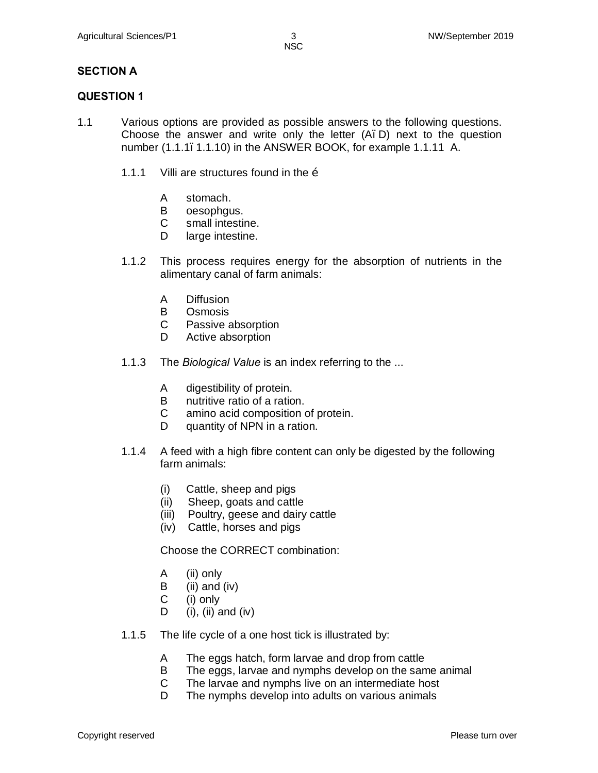#### **SECTION A**

#### **QUESTION 1**

- 1.1 Various options are provided as possible answers to the following questions. Choose the answer and write only the letter  $(A, D)$  next to the question number (1.1.1.1.1.10) in the ANSWER BOOK, for example 1.1.11 A.
	- 1.1.1 Villi are structures found in the  $\ddot{\text{o}}$ 
		- A stomach.
		- B oesophgus.
		- C small intestine.
		- D large intestine.
	- 1.1.2 This process requires energy for the absorption of nutrients in the alimentary canal of farm animals:
		- A Diffusion
		- B Osmosis
		- C Passive absorption
		- D Active absorption
	- 1.1.3 The *Biological Value* is an index referring to the ...
		- A digestibility of protein.
		- B nutritive ratio of a ration.
		- C amino acid composition of protein.
		- D quantity of NPN in a ration.
	- 1.1.4 A feed with a high fibre content can only be digested by the following farm animals:
		- (i) Cattle, sheep and pigs
		- (ii) Sheep, goats and cattle
		- (iii) Poultry, geese and dairy cattle
		- (iv) Cattle, horses and pigs

Choose the CORRECT combination:

- A (ii) only
- $\mathbf{B}$  (ii) and (iv)
- C (i) only
- D (i), (ii) and (iv)
- 1.1.5 The life cycle of a one host tick is illustrated by:
	- A The eggs hatch, form larvae and drop from cattle
	- B The eggs, larvae and nymphs develop on the same animal
	- C The larvae and nymphs live on an intermediate host
	- D The nymphs develop into adults on various animals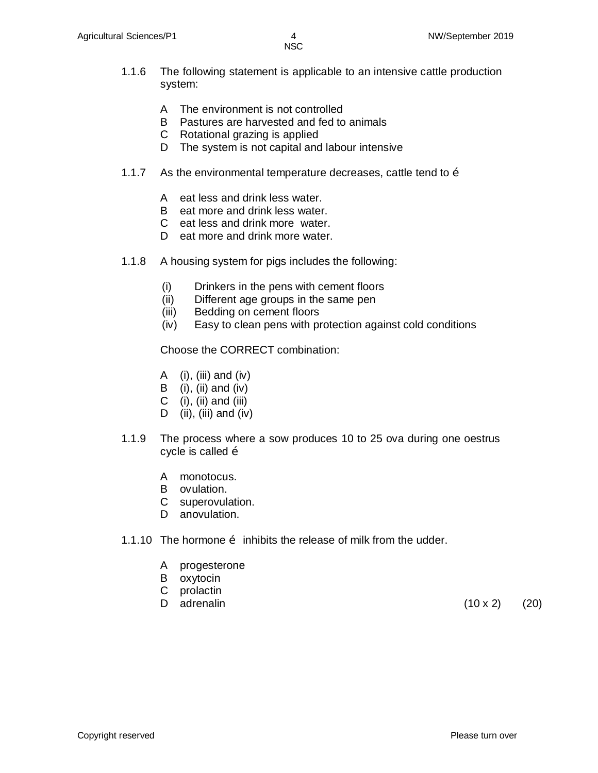- 1.1.6 The following statement is applicable to an intensive cattle production system:
	- A The environment is not controlled
	- B Pastures are harvested and fed to animals
	- C Rotational grazing is applied
	- D The system is not capital and labour intensive
- 1.1.7 As the environmental temperature decreases, cattle tend to  $\ddot{\text{o}}$ 
	- A eat less and drink less water.
	- B eat more and drink less water.
	- C eat less and drink more water.
	- D eat more and drink more water.
- 1.1.8 A housing system for pigs includes the following:
	- (i) Drinkers in the pens with cement floors
	- (ii) Different age groups in the same pen
	- (iii) Bedding on cement floors
	- (iv) Easy to clean pens with protection against cold conditions

Choose the CORRECT combination:

- A  $(i)$ ,  $(iii)$  and  $(iv)$
- B (i), (ii) and (iv)
- C  $(i)$ ,  $(ii)$  and  $(iii)$
- D (ii), (iii) and (iv)
- 1.1.9 The process where a sow produces 10 to 25 ova during one oestrus cycle is called  $\ddot{\text{o}}$ 
	- A monotocus.
	- B ovulation.
	- C superovulation.
	- D anovulation.
- 1.1.10 The hormone  $\ddot{\text{o}}$  inhibits the release of milk from the udder.
	- A progesterone
	- B oxytocin
	- C prolactin
	-

D adrenalin  $(10 \times 2)$  (20)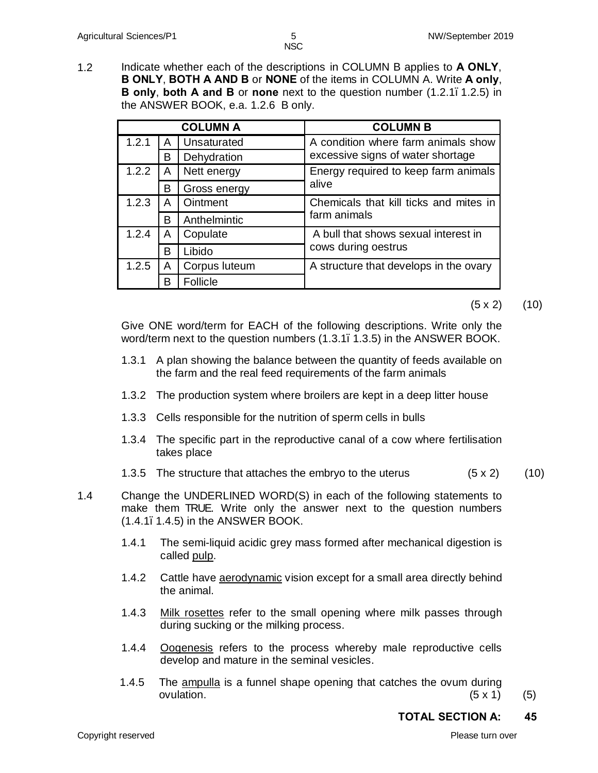1.2 Indicate whether each of the descriptions in COLUMN B applies to **A ONLY**, **B ONLY**, **BOTH A AND B** or **NONE** of the items in COLUMN A. Write **A only**, **B only**, **both A and B** or **none** next to the question number (1.2.1–1.2.5) in the ANSWER BOOK, e.a. 1.2.6 B only.

|       |   | <b>COLUMN A</b> | <b>COLUMN B</b>                        |
|-------|---|-----------------|----------------------------------------|
| 1.2.1 | A | Unsaturated     | A condition where farm animals show    |
|       | B | Dehydration     | excessive signs of water shortage      |
| 1.2.2 | A | Nett energy     | Energy required to keep farm animals   |
|       | B | Gross energy    | alive                                  |
| 1.2.3 | A | Ointment        | Chemicals that kill ticks and mites in |
|       | B | Anthelmintic    | farm animals                           |
| 1.2.4 | A | Copulate        | A bull that shows sexual interest in   |
|       | B | Libido          | cows during oestrus                    |
| 1.2.5 | A | Corpus luteum   | A structure that develops in the ovary |
|       | в | Follicle        |                                        |

#### $(5 \times 2)$   $(10)$

Give ONE word/term for EACH of the following descriptions. Write only the word/term next to the question numbers (1.3.1, 1.3.5) in the ANSWER BOOK.

- 1.3.1 A plan showing the balance between the quantity of feeds available on the farm and the real feed requirements of the farm animals
- 1.3.2 The production system where broilers are kept in a deep litter house
- 1.3.3 Cells responsible for the nutrition of sperm cells in bulls
- 1.3.4 The specific part in the reproductive canal of a cow where fertilisation takes place
- 1.3.5 The structure that attaches the embryo to the uterus  $(5 \times 2)$  (10)

1.4 Change the UNDERLINED WORD(S) in each of the following statements to make them TRUE. Write only the answer next to the question numbers (1.4.1–1.4.5) in the ANSWER BOOK.

- 1.4.1 The semi-liquid acidic grey mass formed after mechanical digestion is called pulp.
- 1.4.2 Cattle have **aerodynamic** vision except for a small area directly behind the animal.
- 1.4.3 Milk rosettes refer to the small opening where milk passes through during sucking or the milking process.
- 1.4.4 Oogenesis refers to the process whereby male reproductive cells develop and mature in the seminal vesicles.
- 1.4.5 The ampulla is a funnel shape opening that catches the ovum during ovulation.  $(5 \times 1)$  (5)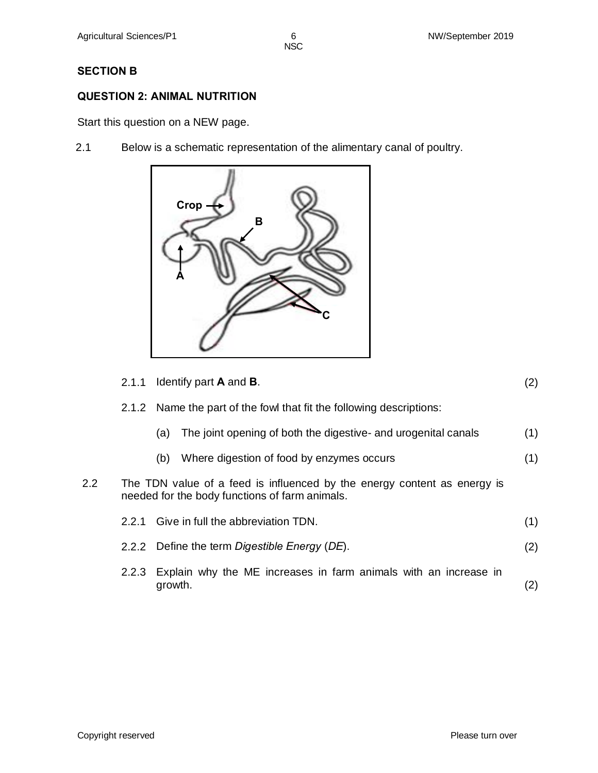NSC in the contract of the contract of the NSC in the United States of the United States of the United States

#### **SECTION B**

#### **QUESTION 2: ANIMAL NUTRITION**

Start this question on a NEW page.

2.1 Below is a schematic representation of the alimentary canal of poultry.



|         | 2.1.1 | Identify part $A$ and $B$ .                                                                                                | (2) |
|---------|-------|----------------------------------------------------------------------------------------------------------------------------|-----|
|         |       | 2.1.2 Name the part of the fowl that fit the following descriptions:                                                       |     |
|         |       | The joint opening of both the digestive- and urogenital canals<br>(a)                                                      | (1) |
|         |       | Where digestion of food by enzymes occurs<br>(b)                                                                           | (1) |
| $2.2\,$ |       | The TDN value of a feed is influenced by the energy content as energy is<br>needed for the body functions of farm animals. |     |
|         |       | 2.2.1 Give in full the abbreviation TDN.                                                                                   | (1) |
|         |       | 2.2.2 Define the term Digestible Energy (DE).                                                                              | (2) |
|         | 2.2.3 | Explain why the ME increases in farm animals with an increase in<br>growth.                                                | (2) |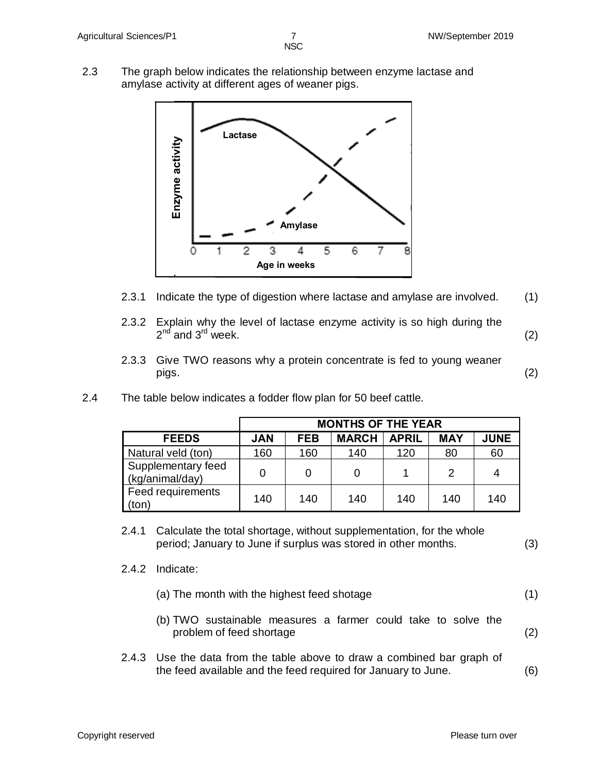- NSC in the contract of the contract of the NSC in the United States of the United States of the United States
- 2.3 The graph below indicates the relationship between enzyme lactase and amylase activity at different ages of weaner pigs.



- 2.3.1 Indicate the type of digestion where lactase and amylase are involved. (1)
- 2.3.2 Explain why the level of lactase enzyme activity is so high during the  $2^{nd}$  and  $3^{rd}$  week. (2)
- 2.3.3 Give TWO reasons why a protein concentrate is fed to young weaner pigs. (2)
- 2.4 The table below indicates a fodder flow plan for 50 beef cattle.

|                                       | <b>MONTHS OF THE YEAR</b> |            |              |              |               |             |
|---------------------------------------|---------------------------|------------|--------------|--------------|---------------|-------------|
| <b>FEEDS</b>                          | <b>JAN</b>                | <b>FEB</b> | <b>MARCH</b> | <b>APRIL</b> | <b>MAY</b>    | <b>JUNE</b> |
| Natural veld (ton)                    | 160                       | 160        | 140          | 120          | 80            | 60          |
| Supplementary feed<br>(kg/animal/day) | 0                         |            |              |              | $\mathcal{D}$ | 4           |
| Feed requirements<br>(ton)            | 140                       | 140        | 140          | 140          | 140           | 140         |

- 2.4.1 Calculate the total shortage, without supplementation, for the whole period; January to June if surplus was stored in other months. (3)
- 2.4.2 Indicate:

| (a) The month with the highest feed shotage |  |
|---------------------------------------------|--|
|---------------------------------------------|--|

- (b) TWO sustainable measures a farmer could take to solve the problem of feed shortage
- 2.4.3 Use the data from the table above to draw a combined bar graph of the feed available and the feed required for January to June. (6)

(2)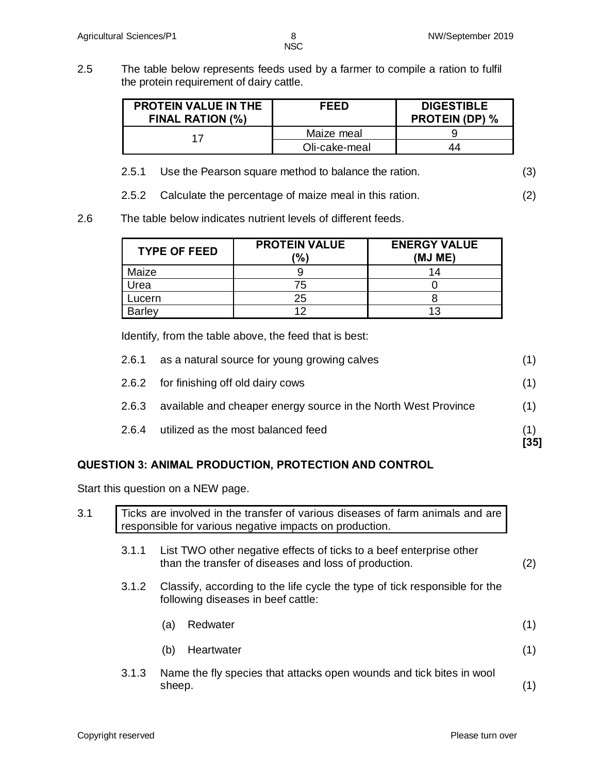2.5 The table below represents feeds used by a farmer to compile a ration to fulfil the protein requirement of dairy cattle.

| <b>PROTEIN VALUE IN THE</b><br><b>FINAL RATION (%)</b> | <b>FEED</b>   | <b>DIGESTIBLE</b><br><b>PROTEIN (DP) %</b> |
|--------------------------------------------------------|---------------|--------------------------------------------|
|                                                        | Maize meal    |                                            |
|                                                        | Oli-cake-meal | 44                                         |

2.5.1 Use the Pearson square method to balance the ration. (3)

2.5.2 Calculate the percentage of maize meal in this ration. (2)

2.6 The table below indicates nutrient levels of different feeds.

| <b>TYPE OF FEED</b> | <b>PROTEIN VALUE</b><br>(%) | <b>ENERGY VALUE</b><br>(MJ ME) |  |
|---------------------|-----------------------------|--------------------------------|--|
| Maize               |                             |                                |  |
| Urea                | 75                          |                                |  |
| Lucern              | 25                          |                                |  |
| <b>Barley</b>       | 1 O                         |                                |  |

Identify, from the table above, the feed that is best:

|       | utilized as the most balanced feed                             | [35] |
|-------|----------------------------------------------------------------|------|
| 2.6.4 |                                                                |      |
| 2.6.3 | available and cheaper energy source in the North West Province | (1)  |
|       | 2.6.2 for finishing off old dairy cows                         | (1)  |
| 2.6.1 | as a natural source for young growing calves                   | (1)  |

#### **QUESTION 3: ANIMAL PRODUCTION, PROTECTION AND CONTROL**

Start this question on a NEW page.

| 3.1 |       | Ticks are involved in the transfer of various diseases of farm animals and are<br>responsible for various negative impacts on production. |     |
|-----|-------|-------------------------------------------------------------------------------------------------------------------------------------------|-----|
|     | 3.1.1 | List TWO other negative effects of ticks to a beef enterprise other<br>than the transfer of diseases and loss of production.              | (2) |
|     | 3.1.2 | Classify, according to the life cycle the type of tick responsible for the<br>following diseases in beef cattle:                          |     |
|     |       | Redwater<br>(a)                                                                                                                           | (1) |
|     |       | Heartwater<br>(b)                                                                                                                         | (1) |
|     | 3.1.3 | Name the fly species that attacks open wounds and tick bites in wool<br>sheep.                                                            |     |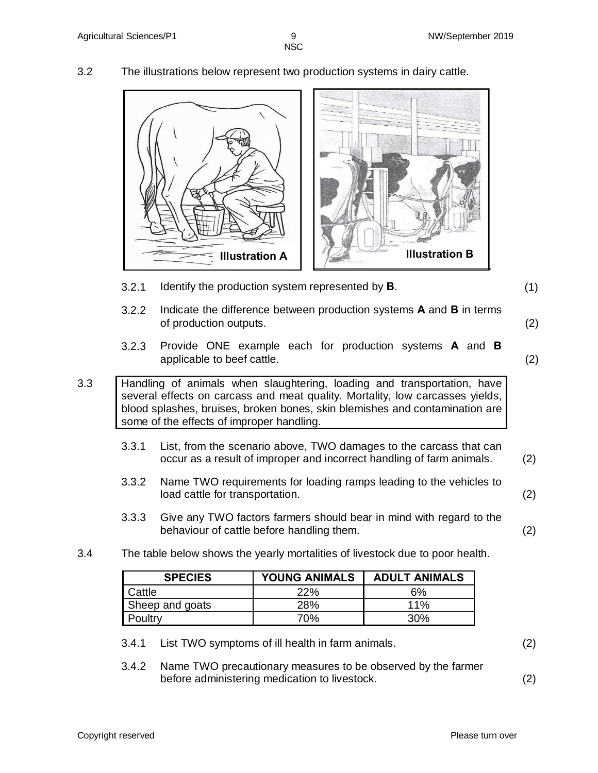3.2 The illustrations below represent two production systems in dairy cattle.



- 3.2.1 Identify the production system represented by **B**. (1)
- 3.2.2 Indicate the difference between production systems **A** and **B** in terms of production outputs. (2)
	-
- 3.2.3 Provide ONE example each for production systems **A** and **B**  applicable to beef cattle. (2)

3.3 Handling of animals when slaughtering, loading and transportation, have several effects on carcass and meat quality. Mortality, low carcasses yields, blood splashes, bruises, broken bones, skin blemishes and contamination are some of the effects of improper handling.

- 3.3.1 List, from the scenario above, TWO damages to the carcass that can occur as a result of improper and incorrect handling of farm animals. (2)
- 3.3.2 Name TWO requirements for loading ramps leading to the vehicles to load cattle for transportation. (2)
- 3.3.3 Give any TWO factors farmers should bear in mind with regard to the behaviour of cattle before handling them. (2)
- 3.4 The table below shows the yearly mortalities of livestock due to poor health.

| <b>SPECIES</b>  | <b>YOUNG ANIMALS</b> | <b>ADULT ANIMALS</b> |
|-----------------|----------------------|----------------------|
| Cattle          | 22%                  | 6%                   |
| Sheep and goats | 28%                  | $11\%$               |
| Poultry         | 70%                  | $30\%$               |

- 3.4.1 List TWO symptoms of ill health in farm animals. (2)
- 3.4.2 Name TWO precautionary measures to be observed by the farmer before administering medication to livestock. (2)

Copyright reserved Please turn over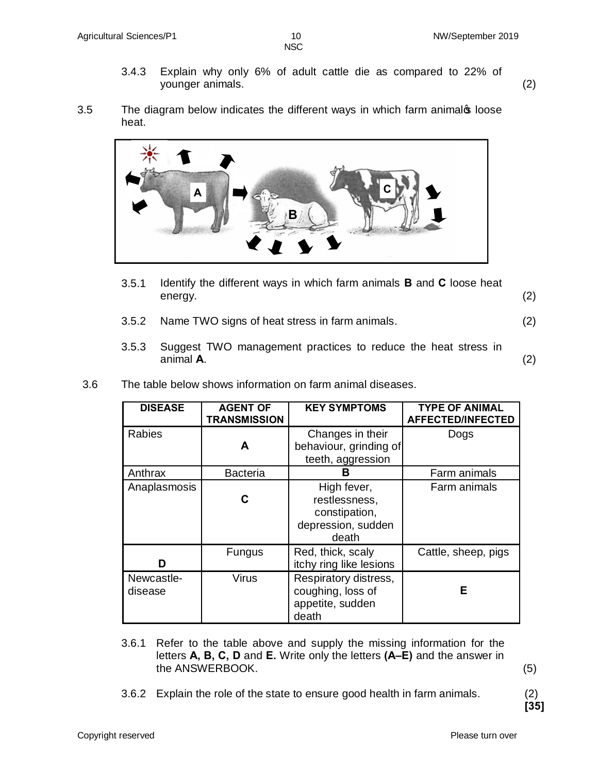- NSC in the contract of the contract of the NSC in the United States of the United States of the United States
	- 3.4.3 Explain why only 6% of adult cattle die as compared to 22% of younger animals. (2)
- 3.5 The diagram below indicates the different ways in which farm animalos loose heat.



- 3.5.1 Identify the different ways in which farm animals **B** and **C** loose heat energy. (2)
- 3.5.2 Name TWO signs of heat stress in farm animals. (2)
- 3.5.3 Suggest TWO management practices to reduce the heat stress in animal **A**. (2)
- 3.6 The table below shows information on farm animal diseases.

| <b>DISEASE</b>        | <b>AGENT OF</b><br><b>TRANSMISSION</b> | <b>KEY SYMPTOMS</b>                                                          | <b>TYPE OF ANIMAL</b><br><b>AFFECTED/INFECTED</b> |
|-----------------------|----------------------------------------|------------------------------------------------------------------------------|---------------------------------------------------|
| <b>Rabies</b>         | A                                      | Changes in their<br>behaviour, grinding of<br>teeth, aggression              | Dogs                                              |
| Anthrax               | <b>Bacteria</b>                        | в                                                                            | Farm animals                                      |
| Anaplasmosis          | C                                      | High fever,<br>restlessness,<br>constipation,<br>depression, sudden<br>death | Farm animals                                      |
| n                     | <b>Fungus</b>                          | Red, thick, scaly<br>itchy ring like lesions                                 | Cattle, sheep, pigs                               |
| Newcastle-<br>disease | <b>Virus</b>                           | Respiratory distress,<br>coughing, loss of<br>appetite, sudden<br>death      | Е                                                 |

- 3.6.1 Refer to the table above and supply the missing information for the letters **A, B, C, D** and **E.** Write only the letters **(A–E)** and the answer in the ANSWERBOOK. (5)
- 3.6.2 Explain the role of the state to ensure good health in farm animals. (2)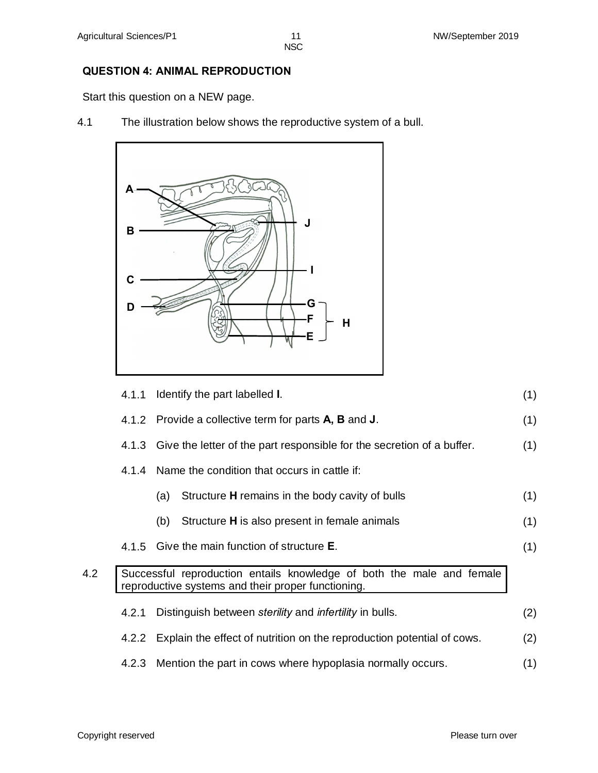#### **QUESTION 4: ANIMAL REPRODUCTION**

Start this question on a NEW page.

4.1 The illustration below shows the reproductive system of a bull.



|     | 4.1.1 | Identify the part labelled I.                                                                                               | (1) |
|-----|-------|-----------------------------------------------------------------------------------------------------------------------------|-----|
|     |       | 4.1.2 Provide a collective term for parts A, B and J.                                                                       | (1) |
|     |       | 4.1.3 Give the letter of the part responsible for the secretion of a buffer.                                                | (1) |
|     |       | 4.1.4 Name the condition that occurs in cattle if:                                                                          |     |
|     |       | Structure H remains in the body cavity of bulls<br>(a)                                                                      | (1) |
|     |       | Structure <b>H</b> is also present in female animals<br>(b)                                                                 | (1) |
|     |       | 4.1.5 Give the main function of structure <b>E</b> .                                                                        | (1) |
| 4.2 |       | Successful reproduction entails knowledge of both the male and female<br>reproductive systems and their proper functioning. |     |
|     | 4.2.1 | Distinguish between sterility and infertility in bulls.                                                                     | (2) |
|     |       | 4.2.2 Explain the effect of nutrition on the reproduction potential of cows.                                                | (2) |
|     |       | 4.2.3 Mention the part in cows where hypoplasia normally occurs.                                                            | (1) |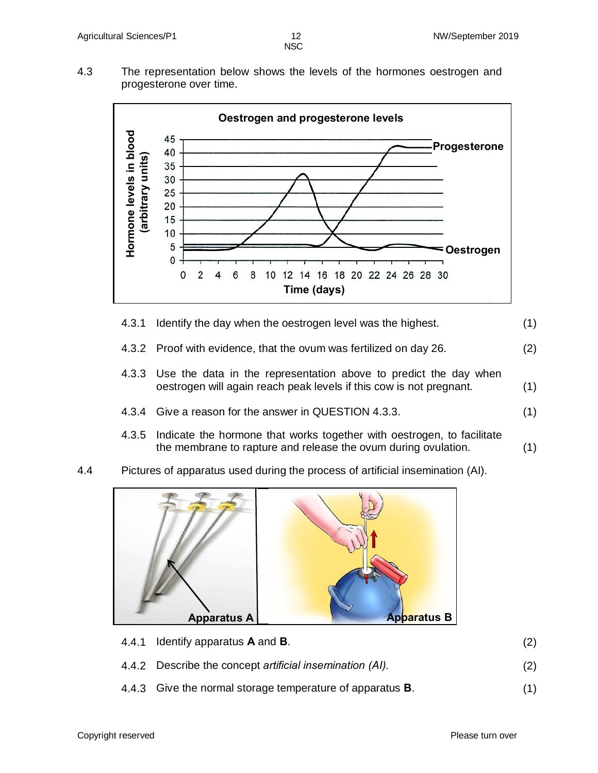4.3 The representation below shows the levels of the hormones oestrogen and progesterone over time.



- 4.3.1 Identify the day when the oestrogen level was the highest. (1)
- 4.3.2 Proof with evidence, that the ovum was fertilized on day 26. (2)
- 4.3.3 Use the data in the representation above to predict the day when oestrogen will again reach peak levels if this cow is not pregnant. (1)
- 4.3.4 Give a reason for the answer in QUESTION 4.3.3. (1)
- 4.3.5 Indicate the hormone that works together with oestrogen, to facilitate the membrane to rapture and release the ovum during ovulation. (1)
- 4.4 Pictures of apparatus used during the process of artificial insemination (AI).



| 4.4.1 Identify apparatus $\bm{A}$ and $\bm{B}$ .         | (2) |
|----------------------------------------------------------|-----|
| 4.4.2 Describe the concept artificial insemination (AI). | (2) |

4.4.3 Give the normal storage temperature of apparatus **B**. (1)